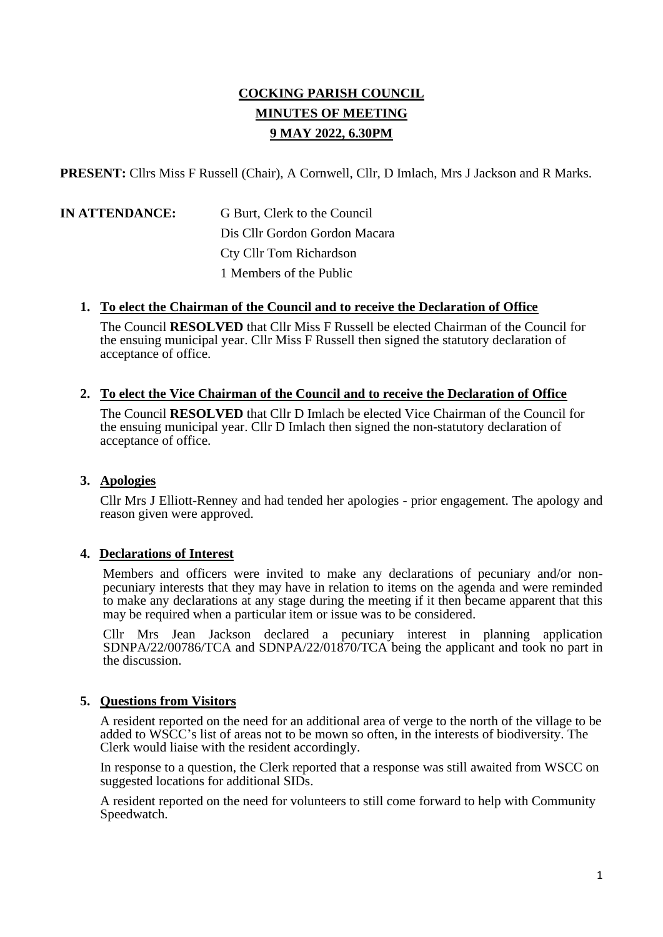# **COCKING PARISH COUNCIL MINUTES OF MEETING 9 MAY 2022, 6.30PM**

**PRESENT:** Cllrs Miss F Russell (Chair), A Cornwell, Cllr, D Imlach, Mrs J Jackson and R Marks.

|  |  |  |  | <b>IN ATTENDANCE:</b> |  |
|--|--|--|--|-----------------------|--|
|--|--|--|--|-----------------------|--|

**G Burt, Clerk to the Council** Dis Cllr Gordon Gordon Macara Cty Cllr Tom Richardson 1 Members of the Public

#### **1. To elect the Chairman of the Council and to receive the Declaration of Office**

The Council **RESOLVED** that Cllr Miss F Russell be elected Chairman of the Council for the ensuing municipal year. Cllr Miss F Russell then signed the statutory declaration of acceptance of office.

#### **2. To elect the Vice Chairman of the Council and to receive the Declaration of Office**

The Council **RESOLVED** that Cllr D Imlach be elected Vice Chairman of the Council for the ensuing municipal year. Cllr D Imlach then signed the non-statutory declaration of acceptance of office.

#### **3. Apologies**

Cllr Mrs J Elliott-Renney and had tended her apologies - prior engagement. The apology and reason given were approved.

#### **4. Declarations of Interest**

Members and officers were invited to make any declarations of pecuniary and/or nonpecuniary interests that they may have in relation to items on the agenda and were reminded to make any declarations at any stage during the meeting if it then became apparent that this may be required when a particular item or issue was to be considered.

Cllr Mrs Jean Jackson declared a pecuniary interest in planning application SDNPA/22/00786/TCA and SDNPA/22/01870/TCA being the applicant and took no part in the discussion.

#### **5. Questions from Visitors**

A resident reported on the need for an additional area of verge to the north of the village to be added to WSCC's list of areas not to be mown so often, in the interests of biodiversity. The Clerk would liaise with the resident accordingly.

In response to a question, the Clerk reported that a response was still awaited from WSCC on suggested locations for additional SIDs.

A resident reported on the need for volunteers to still come forward to help with Community Speedwatch.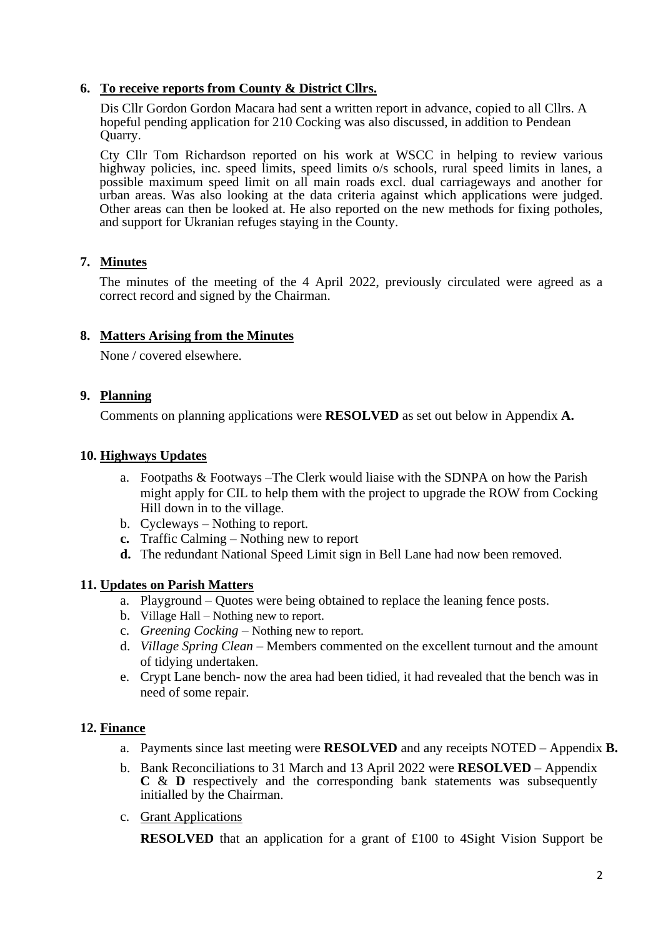#### **6. To receive reports from County & District Cllrs.**

Dis Cllr Gordon Gordon Macara had sent a written report in advance, copied to all Cllrs. A hopeful pending application for 210 Cocking was also discussed, in addition to Pendean Quarry.

Cty Cllr Tom Richardson reported on his work at WSCC in helping to review various highway policies, inc. speed limits, speed limits o/s schools, rural speed limits in lanes, a possible maximum speed limit on all main roads excl. dual carriageways and another for urban areas. Was also looking at the data criteria against which applications were judged. Other areas can then be looked at. He also reported on the new methods for fixing potholes, and support for Ukranian refuges staying in the County.

## **7. Minutes**

The minutes of the meeting of the 4 April 2022, previously circulated were agreed as a correct record and signed by the Chairman.

## **8. Matters Arising from the Minutes**

None / covered elsewhere.

#### **9. Planning**

Comments on planning applications were **RESOLVED** as set out below in Appendix **A.**

#### **10. Highways Updates**

- a. Footpaths & Footways –The Clerk would liaise with the SDNPA on how the Parish might apply for CIL to help them with the project to upgrade the ROW from Cocking Hill down in to the village.
- b. Cycleways Nothing to report.
- **c.** Traffic Calming Nothing new to report
- **d.** The redundant National Speed Limit sign in Bell Lane had now been removed.

## **11. Updates on Parish Matters**

- a. Playground Quotes were being obtained to replace the leaning fence posts.
- b. Village Hall Nothing new to report.
- c. *Greening Cocking –* Nothing new to report.
- d. *Village Spring Clean –* Members commented on the excellent turnout and the amount of tidying undertaken.
- e. Crypt Lane bench- now the area had been tidied, it had revealed that the bench was in need of some repair.

## **12. Finance**

- a. Payments since last meeting were **RESOLVED** and any receipts NOTED Appendix **B.**
- b. Bank Reconciliations to 31 March and 13 April 2022 were **RESOLVED** Appendix **C** & **D** respectively and the corresponding bank statements was subsequently initialled by the Chairman.
- c. Grant Applications

**RESOLVED** that an application for a grant of £100 to 4Sight Vision Support be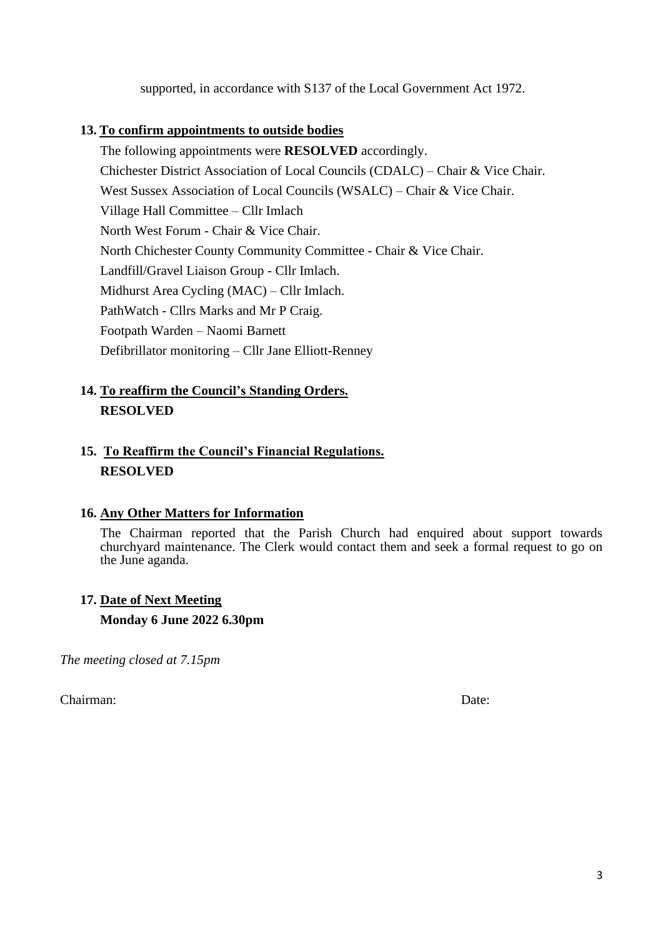supported, in accordance with S137 of the Local Government Act 1972.

## **13. To confirm appointments to outside bodies**

The following appointments were **RESOLVED** accordingly. Chichester District Association of Local Councils (CDALC) – Chair & Vice Chair. West Sussex Association of Local Councils (WSALC) – Chair & Vice Chair. Village Hall Committee – Cllr Imlach North West Forum - Chair & Vice Chair. North Chichester County Community Committee - Chair & Vice Chair. Landfill/Gravel Liaison Group - Cllr Imlach. Midhurst Area Cycling (MAC) – Cllr Imlach. PathWatch - Cllrs Marks and Mr P Craig. Footpath Warden – Naomi Barnett Defibrillator monitoring – Cllr Jane Elliott-Renney

## **14. To reaffirm the Council's Standing Orders. RESOLVED**

## **15. To Reaffirm the Council's Financial Regulations. RESOLVED**

## **16. Any Other Matters for Information**

The Chairman reported that the Parish Church had enquired about support towards churchyard maintenance. The Clerk would contact them and seek a formal request to go on the June aganda.

# **17. Date of Next Meeting Monday 6 June 2022 6.30pm**

*The meeting closed at 7.15pm*

Chairman: Date: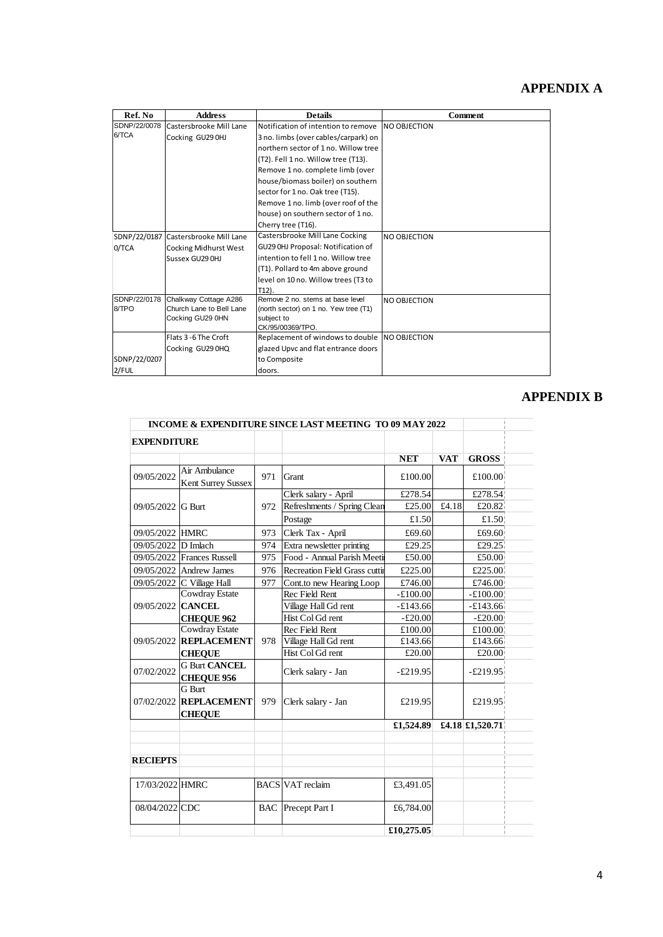# **APPENDIX A**

| Ref. No      | <b>Address</b>                       | <b>Details</b>                                | <b>Comment</b>      |
|--------------|--------------------------------------|-----------------------------------------------|---------------------|
| SDNP/22/0078 | Castersbrooke Mill Lane              | Notification of intention to remove           | <b>NO OBJECTION</b> |
| 6/TCA        | Cocking GU29 0HJ                     | 3 no. limbs (over cables/carpark) on          |                     |
|              |                                      | northern sector of 1 no. Willow tree          |                     |
|              |                                      | (T2). Fell 1 no. Willow tree (T13).           |                     |
|              |                                      | Remove 1 no. complete limb (over              |                     |
|              |                                      | house/biomass boiler) on southern             |                     |
|              |                                      | sector for 1 no. Oak tree (T15).              |                     |
|              |                                      | Remove 1 no. limb (over roof of the           |                     |
|              |                                      | house) on southern sector of 1 no.            |                     |
|              |                                      | Cherry tree (T16).                            |                     |
|              | SDNP/22/0187 Castersbrooke Mill Lane | Castersbrooke Mill Lane Cocking               | NO OBJECTION        |
| 0/TCA        | Cocking Midhurst West                | GU29 OHJ Proposal: Notification of            |                     |
|              | Sussex GU29 OHJ                      | intention to fell 1 no. Willow tree           |                     |
|              |                                      | (T1). Pollard to 4m above ground              |                     |
|              |                                      | level on 10 no. Willow trees (T3 to           |                     |
|              |                                      | $T12$ ).                                      |                     |
| SDNP/22/0178 | Chalkway Cottage A286                | Remove 2 no. stems at base level              | <b>NO OBJECTION</b> |
| 8/TPO        | Church Lane to Bell Lane             | (north sector) on 1 no. Yew tree (T1)         |                     |
|              | Cocking GU29 0HN                     | subject to<br>CK/95/00369/TPO.                |                     |
|              | Flats 3 - 6 The Croft                | Replacement of windows to double NO OBJECTION |                     |
|              | Cocking GU29 0HQ                     | glazed Upvc and flat entrance doors           |                     |
| SDNP/22/0207 |                                      | to Composite                                  |                     |
| $2$ FUL      |                                      | doors.                                        |                     |
|              |                                      |                                               |                     |

## **APPENDIX B**

|                     |                                                          |     | <b>INCOME &amp; EXPENDITURE SINCE LAST MEETING TO 09 MAY 2022</b> |            |            |                       |
|---------------------|----------------------------------------------------------|-----|-------------------------------------------------------------------|------------|------------|-----------------------|
| <b>EXPENDITURE</b>  |                                                          |     |                                                                   |            |            |                       |
|                     |                                                          |     |                                                                   | <b>NET</b> | <b>VAT</b> | <b>GROSS</b>          |
| 09/05/2022          | Air Ambulance<br><b>Kent Surrey Sussex</b>               | 971 | Grant                                                             | £100.00    |            | £100.00               |
|                     |                                                          | 972 | Clerk salary - April                                              | £278.54    |            | £278.54               |
| 09/05/2022 G Burt   |                                                          |     | Refreshments / Spring Clean                                       | £25.00     | £4.18      | £20.82                |
|                     |                                                          |     | Postage                                                           | £1.50      |            | £1.50                 |
| 09/05/2022 HMRC     |                                                          | 973 | Clerk Tax - April<br>£69.60                                       |            | £69.60     |                       |
| 09/05/2022 D Imlach |                                                          | 974 | Extra newsletter printing                                         | £29.25     |            | £29.25                |
|                     | 09/05/2022 Frances Russell                               | 975 | Food - Annual Parish Meeti<br>£50.00                              |            | £50.00     |                       |
|                     | 09/05/2022 Andrew James                                  | 976 | Recreation Field Grass cuttin                                     | £225.00    |            | £225.00               |
|                     | 09/05/2022 C Village Hall                                | 977 | Cont.to new Hearing Loop                                          | £746.00    |            | £746.00               |
|                     | <b>Cowdray Estate</b>                                    |     | Rec Field Rent                                                    | $-£100.00$ |            | $-£100.00$            |
| 09/05/2022 CANCEL   |                                                          |     | Village Hall Gd rent                                              | $-£143.66$ |            | $-£143.66$            |
|                     | <b>CHEQUE 962</b>                                        |     | Hist Col Gd rent                                                  | $-£20.00$  |            | $-£20.00$             |
|                     | <b>Cowdray Estate</b>                                    |     | Rec Field Rent                                                    | £100.00    |            | £100.00               |
|                     | 09/05/2022 REPLACEMENT                                   | 978 | Village Hall Gd rent                                              | £143.66    |            | £143.66               |
|                     | <b>CHEOUE</b>                                            |     | Hist Col Gd rent                                                  | £20.00     |            | £20.00 $\overline{a}$ |
| 07/02/2022          | <b>G Burt CANCEL</b><br><b>CHEOUE 956</b>                |     | Clerk salary - Jan                                                | $-£219.95$ |            | $-£219.95$            |
|                     | <b>G</b> Burt<br>07/02/2022 REPLACEMENT<br><b>CHEQUE</b> | 979 | Clerk salary - Jan                                                | £219.95    |            | £219.95               |
|                     |                                                          |     |                                                                   | £1,524.89  |            | £4.18 £1,520.71       |
|                     |                                                          |     |                                                                   |            |            |                       |
| <b>RECIEPTS</b>     |                                                          |     |                                                                   |            |            |                       |
| 17/03/2022 HMRC     |                                                          |     | <b>BACS</b> VAT reclaim                                           | £3,491.05  |            |                       |
| 08/04/2022 CDC      |                                                          |     | <b>BAC</b> Precept Part I                                         | £6,784.00  |            |                       |
|                     |                                                          |     |                                                                   | £10,275.05 |            |                       |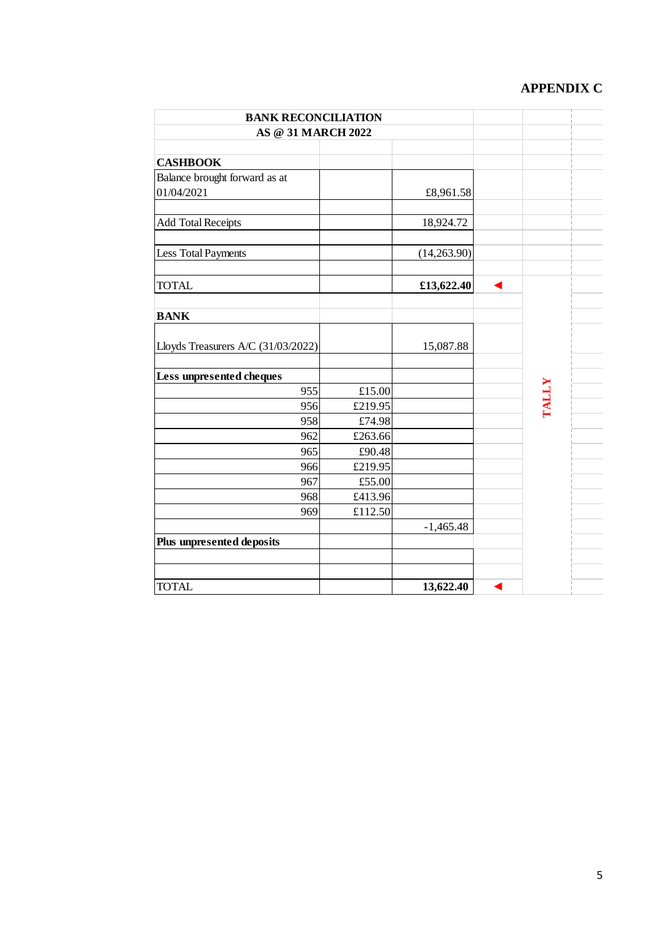# **APPENDIX C**

| <b>BANK RECONCILIATION</b>         |         |             |  |              |  |
|------------------------------------|---------|-------------|--|--------------|--|
| <b>AS @ 31 MARCH 2022</b>          |         |             |  |              |  |
| <b>CASHBOOK</b>                    |         |             |  |              |  |
| Balance brought forward as at      |         |             |  |              |  |
| 01/04/2021                         |         | £8,961.58   |  |              |  |
| <b>Add Total Receipts</b>          |         | 18,924.72   |  |              |  |
| <b>Less Total Payments</b>         |         | (14,263.90) |  |              |  |
| <b>TOTAL</b>                       |         | £13,622.40  |  |              |  |
| <b>BANK</b>                        |         |             |  |              |  |
| Lloyds Treasurers A/C (31/03/2022) |         | 15,087.88   |  |              |  |
| Less unpresented cheques           |         |             |  |              |  |
| 955                                | £15.00  |             |  | <b>TALLY</b> |  |
| 956                                | £219.95 |             |  |              |  |
| 958                                | £74.98  |             |  |              |  |
| 962                                | £263.66 |             |  |              |  |
| 965                                | £90.48  |             |  |              |  |
| 966                                | £219.95 |             |  |              |  |
| 967                                | £55.00  |             |  |              |  |
| 968                                | £413.96 |             |  |              |  |
| 969                                | £112.50 |             |  |              |  |
|                                    |         | $-1,465.48$ |  |              |  |
| Plus unpresented deposits          |         |             |  |              |  |
|                                    |         |             |  |              |  |
| <b>TOTAL</b>                       |         | 13,622.40   |  |              |  |